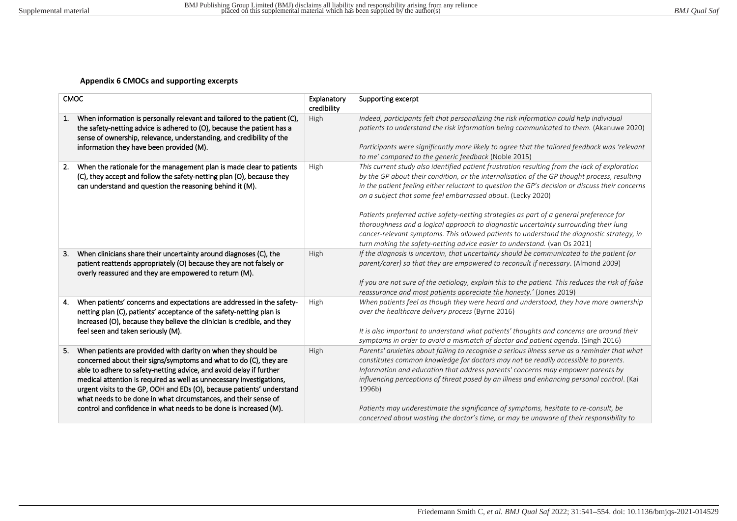## **Appendix 6 CMOCs and supporting excerpts**

| <b>CMOC</b>                                                                                                                                                                                                                                                                                                                                                                                                                                                                                                | Explanatory<br>credibility | Supporting excerpt                                                                                                                                                                                                                                                                                                                                                                                                                                                                                                                                                                                                                                                                                                           |
|------------------------------------------------------------------------------------------------------------------------------------------------------------------------------------------------------------------------------------------------------------------------------------------------------------------------------------------------------------------------------------------------------------------------------------------------------------------------------------------------------------|----------------------------|------------------------------------------------------------------------------------------------------------------------------------------------------------------------------------------------------------------------------------------------------------------------------------------------------------------------------------------------------------------------------------------------------------------------------------------------------------------------------------------------------------------------------------------------------------------------------------------------------------------------------------------------------------------------------------------------------------------------------|
| When information is personally relevant and tailored to the patient (C),<br>1.<br>the safety-netting advice is adhered to (O), because the patient has a<br>sense of ownership, relevance, understanding, and credibility of the<br>information they have been provided (M).                                                                                                                                                                                                                               | High                       | Indeed, participants felt that personalizing the risk information could help individual<br>patients to understand the risk information being communicated to them. (Akanuwe 2020)<br>Participants were significantly more likely to agree that the tailored feedback was 'relevant<br>to me' compared to the generic feedback (Noble 2015)                                                                                                                                                                                                                                                                                                                                                                                   |
| When the rationale for the management plan is made clear to patients<br>2.<br>(C), they accept and follow the safety-netting plan (O), because they<br>can understand and question the reasoning behind it (M).                                                                                                                                                                                                                                                                                            | High                       | This current study also identified patient frustration resulting from the lack of exploration<br>by the GP about their condition, or the internalisation of the GP thought process, resulting<br>in the patient feeling either reluctant to question the GP's decision or discuss their concerns<br>on a subject that some feel embarrassed about. (Lecky 2020)<br>Patients preferred active safety-netting strategies as part of a general preference for<br>thoroughness and a logical approach to diagnostic uncertainty surrounding their lung<br>cancer-relevant symptoms. This allowed patients to understand the diagnostic strategy, in<br>turn making the safety-netting advice easier to understand. (van Os 2021) |
| When clinicians share their uncertainty around diagnoses (C), the<br>З.<br>patient reattends appropriately (O) because they are not falsely or<br>overly reassured and they are empowered to return (M).                                                                                                                                                                                                                                                                                                   | High                       | If the diagnosis is uncertain, that uncertainty should be communicated to the patient (or<br>parent/carer) so that they are empowered to reconsult if necessary. (Almond 2009)<br>If you are not sure of the aetiology, explain this to the patient. This reduces the risk of false<br>reassurance and most patients appreciate the honesty.' (Jones 2019)                                                                                                                                                                                                                                                                                                                                                                   |
| When patients' concerns and expectations are addressed in the safety-<br>4.<br>netting plan (C), patients' acceptance of the safety-netting plan is<br>increased (O), because they believe the clinician is credible, and they<br>feel seen and taken seriously (M).                                                                                                                                                                                                                                       | High                       | When patients feel as though they were heard and understood, they have more ownership<br>over the healthcare delivery process (Byrne 2016)<br>It is also important to understand what patients' thoughts and concerns are around their<br>symptoms in order to avoid a mismatch of doctor and patient agenda. (Singh 2016)                                                                                                                                                                                                                                                                                                                                                                                                   |
| When patients are provided with clarity on when they should be<br>5.<br>concerned about their signs/symptoms and what to do (C), they are<br>able to adhere to safety-netting advice, and avoid delay if further<br>medical attention is required as well as unnecessary investigations,<br>urgent visits to the GP, OOH and EDs (O), because patients' understand<br>what needs to be done in what circumstances, and their sense of<br>control and confidence in what needs to be done is increased (M). | High                       | Parents' anxieties about failing to recognise a serious illness serve as a reminder that what<br>constitutes common knowledge for doctors may not be readily accessible to parents.<br>Information and education that address parents' concerns may empower parents by<br>influencing perceptions of threat posed by an illness and enhancing personal control. (Kai<br>1996b)<br>Patients may underestimate the significance of symptoms, hesitate to re-consult, be<br>concerned about wasting the doctor's time, or may be unaware of their responsibility to                                                                                                                                                             |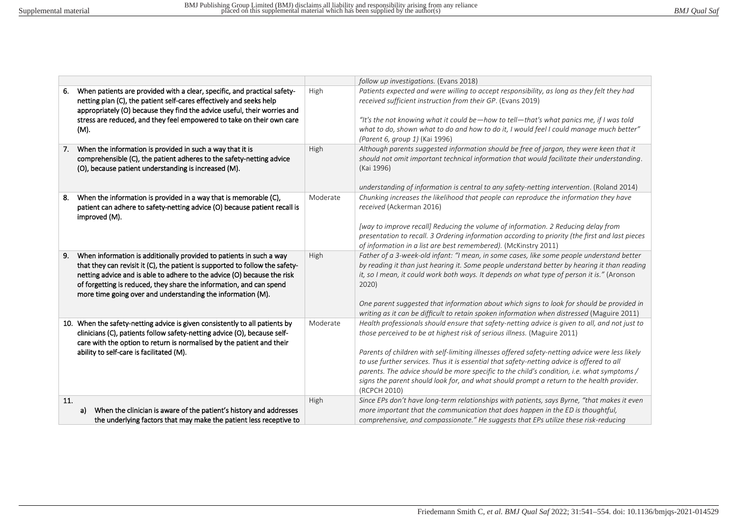|                                                                                                                                                                                                                                                                                                                                                                            |          | follow up investigations. (Evans 2018)                                                                                                                                                                                                                                                                                                                                                                                                                                                                                                                                                 |
|----------------------------------------------------------------------------------------------------------------------------------------------------------------------------------------------------------------------------------------------------------------------------------------------------------------------------------------------------------------------------|----------|----------------------------------------------------------------------------------------------------------------------------------------------------------------------------------------------------------------------------------------------------------------------------------------------------------------------------------------------------------------------------------------------------------------------------------------------------------------------------------------------------------------------------------------------------------------------------------------|
| When patients are provided with a clear, specific, and practical safety-<br>6.<br>netting plan (C), the patient self-cares effectively and seeks help<br>appropriately (O) because they find the advice useful, their worries and<br>stress are reduced, and they feel empowered to take on their own care<br>(M).                                                         | High     | Patients expected and were willing to accept responsibility, as long as they felt they had<br>received sufficient instruction from their GP. (Evans 2019)<br>"It's the not knowing what it could be—how to tell—that's what panics me, if I was told<br>what to do, shown what to do and how to do it, I would feel I could manage much better"<br>(Parent 6, group 1) (Kai 1996)                                                                                                                                                                                                      |
| When the information is provided in such a way that it is<br>7.<br>comprehensible (C), the patient adheres to the safety-netting advice<br>(O), because patient understanding is increased (M).                                                                                                                                                                            | High     | Although parents suggested information should be free of jargon, they were keen that it<br>should not omit important technical information that would facilitate their understanding.<br>(Kai 1996)<br>understanding of information is central to any safety-netting intervention. (Roland 2014)                                                                                                                                                                                                                                                                                       |
| When the information is provided in a way that is memorable (C),<br>8.<br>patient can adhere to safety-netting advice (O) because patient recall is<br>improved (M).                                                                                                                                                                                                       | Moderate | Chunking increases the likelihood that people can reproduce the information they have<br>received (Ackerman 2016)<br>[way to improve recall] Reducing the volume of information. 2 Reducing delay from<br>presentation to recall. 3 Ordering information according to priority (the first and last pieces<br>of information in a list are best remembered). (McKinstry 2011)                                                                                                                                                                                                           |
| When information is additionally provided to patients in such a way<br>9.<br>that they can revisit it (C), the patient is supported to follow the safety-<br>netting advice and is able to adhere to the advice (O) because the risk<br>of forgetting is reduced, they share the information, and can spend<br>more time going over and understanding the information (M). | High     | Father of a 3-week-old infant: "I mean, in some cases, like some people understand better<br>by reading it than just hearing it. Some people understand better by hearing it than reading<br>it, so I mean, it could work both ways. It depends on what type of person it is." (Aronson<br>2020)<br>One parent suggested that information about which signs to look for should be provided in<br>writing as it can be difficult to retain spoken information when distressed (Maguire 2011)                                                                                            |
| 10. When the safety-netting advice is given consistently to all patients by<br>clinicians (C), patients follow safety-netting advice (O), because self-<br>care with the option to return is normalised by the patient and their<br>ability to self-care is facilitated (M).                                                                                               | Moderate | Health professionals should ensure that safety-netting advice is given to all, and not just to<br>those perceived to be at highest risk of serious illness. (Maguire 2011)<br>Parents of children with self-limiting illnesses offered safety-netting advice were less likely<br>to use further services. Thus it is essential that safety-netting advice is offered to all<br>parents. The advice should be more specific to the child's condition, i.e. what symptoms /<br>signs the parent should look for, and what should prompt a return to the health provider.<br>(RCPCH 2010) |
| 11.<br>When the clinician is aware of the patient's history and addresses<br>a)<br>the underlying factors that may make the patient less receptive to                                                                                                                                                                                                                      | High     | Since EPs don't have long-term relationships with patients, says Byrne, "that makes it even<br>more important that the communication that does happen in the ED is thoughtful,<br>comprehensive, and compassionate." He suggests that EPs utilize these risk-reducing                                                                                                                                                                                                                                                                                                                  |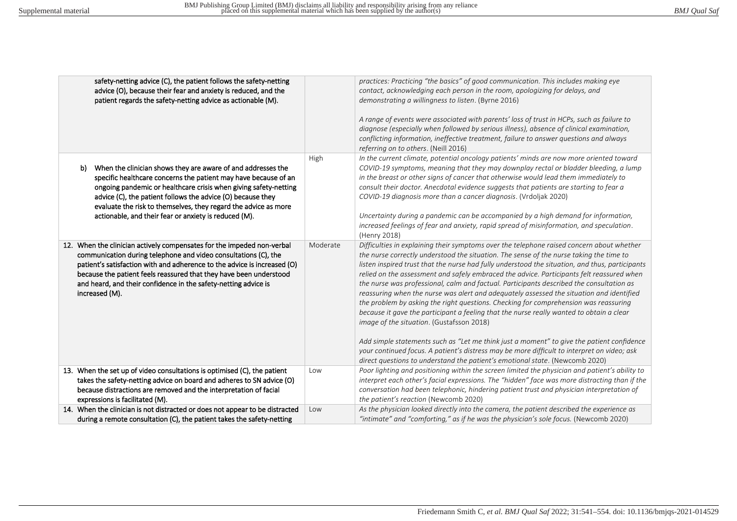| safety-netting advice (C), the patient follows the safety-netting<br>advice (O), because their fear and anxiety is reduced, and the<br>patient regards the safety-netting advice as actionable (M).                                                                                                                                                                                                  |          | practices: Practicing "the basics" of good communication. This includes making eye<br>contact, acknowledging each person in the room, apologizing for delays, and<br>demonstrating a willingness to listen. (Byrne 2016)<br>A range of events were associated with parents' loss of trust in HCPs, such as failure to<br>diagnose (especially when followed by serious illness), absence of clinical examination,<br>conflicting information, ineffective treatment, failure to answer questions and always<br>referring on to others. (Neill 2016)                                                                                                                                                                                                                                                                                                                                                                                                                                                                                                                                       |
|------------------------------------------------------------------------------------------------------------------------------------------------------------------------------------------------------------------------------------------------------------------------------------------------------------------------------------------------------------------------------------------------------|----------|-------------------------------------------------------------------------------------------------------------------------------------------------------------------------------------------------------------------------------------------------------------------------------------------------------------------------------------------------------------------------------------------------------------------------------------------------------------------------------------------------------------------------------------------------------------------------------------------------------------------------------------------------------------------------------------------------------------------------------------------------------------------------------------------------------------------------------------------------------------------------------------------------------------------------------------------------------------------------------------------------------------------------------------------------------------------------------------------|
| When the clinician shows they are aware of and addresses the<br>b)<br>specific healthcare concerns the patient may have because of an<br>ongoing pandemic or healthcare crisis when giving safety-netting<br>advice (C), the patient follows the advice (O) because they<br>evaluate the risk to themselves, they regard the advice as more<br>actionable, and their fear or anxiety is reduced (M). | High     | In the current climate, potential oncology patients' minds are now more oriented toward<br>COVID-19 symptoms, meaning that they may downplay rectal or bladder bleeding, a lump<br>in the breast or other signs of cancer that otherwise would lead them immediately to<br>consult their doctor. Anecdotal evidence suggests that patients are starting to fear a<br>COVID-19 diagnosis more than a cancer diagnosis. (Vrdoljak 2020)<br>Uncertainty during a pandemic can be accompanied by a high demand for information,<br>increased feelings of fear and anxiety, rapid spread of misinformation, and speculation.<br>(Henry 2018)                                                                                                                                                                                                                                                                                                                                                                                                                                                   |
| 12. When the clinician actively compensates for the impeded non-verbal<br>communication during telephone and video consultations (C), the<br>patient's satisfaction with and adherence to the advice is increased (O)<br>because the patient feels reassured that they have been understood<br>and heard, and their confidence in the safety-netting advice is<br>increased (M).                     | Moderate | Difficulties in explaining their symptoms over the telephone raised concern about whether<br>the nurse correctly understood the situation. The sense of the nurse taking the time to<br>listen inspired trust that the nurse had fully understood the situation, and thus, participants<br>relied on the assessment and safely embraced the advice. Participants felt reassured when<br>the nurse was professional, calm and factual. Participants described the consultation as<br>reassuring when the nurse was alert and adequately assessed the situation and identified<br>the problem by asking the right questions. Checking for comprehension was reassuring<br>because it gave the participant a feeling that the nurse really wanted to obtain a clear<br>image of the situation. (Gustafsson 2018)<br>Add simple statements such as "Let me think just a moment" to give the patient confidence<br>your continued focus. A patient's distress may be more difficult to interpret on video; ask<br>direct questions to understand the patient's emotional state. (Newcomb 2020) |
| 13. When the set up of video consultations is optimised (C), the patient<br>takes the safety-netting advice on board and adheres to SN advice (O)                                                                                                                                                                                                                                                    | Low      | Poor lighting and positioning within the screen limited the physician and patient's ability to<br>interpret each other's facial expressions. The "hidden" face was more distracting than if the                                                                                                                                                                                                                                                                                                                                                                                                                                                                                                                                                                                                                                                                                                                                                                                                                                                                                           |
| because distractions are removed and the interpretation of facial                                                                                                                                                                                                                                                                                                                                    |          | conversation had been telephonic, hindering patient trust and physician interpretation of                                                                                                                                                                                                                                                                                                                                                                                                                                                                                                                                                                                                                                                                                                                                                                                                                                                                                                                                                                                                 |
| expressions is facilitated (M).                                                                                                                                                                                                                                                                                                                                                                      |          | the patient's reaction (Newcomb 2020)                                                                                                                                                                                                                                                                                                                                                                                                                                                                                                                                                                                                                                                                                                                                                                                                                                                                                                                                                                                                                                                     |
| 14. When the clinician is not distracted or does not appear to be distracted                                                                                                                                                                                                                                                                                                                         | Low      | As the physician looked directly into the camera, the patient described the experience as                                                                                                                                                                                                                                                                                                                                                                                                                                                                                                                                                                                                                                                                                                                                                                                                                                                                                                                                                                                                 |
| during a remote consultation (C), the patient takes the safety-netting                                                                                                                                                                                                                                                                                                                               |          | "intimate" and "comforting," as if he was the physician's sole focus. (Newcomb 2020)                                                                                                                                                                                                                                                                                                                                                                                                                                                                                                                                                                                                                                                                                                                                                                                                                                                                                                                                                                                                      |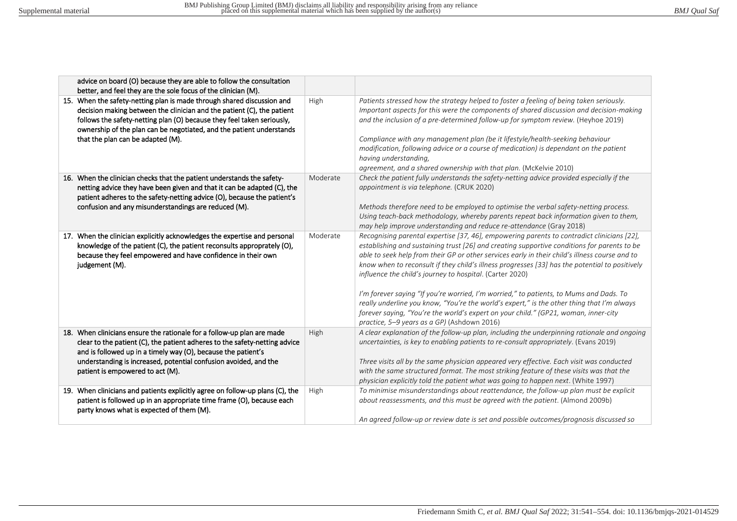| advice on board (O) because they are able to follow the consultation                                                                                                                                                                                                                                                                                                                                      |          |                                                                                                                                                                                                                                                                                                                                                                                                                                                                                                                                                                                                                                                                                                                                                                                         |
|-----------------------------------------------------------------------------------------------------------------------------------------------------------------------------------------------------------------------------------------------------------------------------------------------------------------------------------------------------------------------------------------------------------|----------|-----------------------------------------------------------------------------------------------------------------------------------------------------------------------------------------------------------------------------------------------------------------------------------------------------------------------------------------------------------------------------------------------------------------------------------------------------------------------------------------------------------------------------------------------------------------------------------------------------------------------------------------------------------------------------------------------------------------------------------------------------------------------------------------|
| better, and feel they are the sole focus of the clinician (M).<br>15. When the safety-netting plan is made through shared discussion and<br>decision making between the clinician and the patient (C), the patient<br>follows the safety-netting plan (O) because they feel taken seriously,<br>ownership of the plan can be negotiated, and the patient understands<br>that the plan can be adapted (M). | High     | Patients stressed how the strategy helped to foster a feeling of being taken seriously.<br>Important aspects for this were the components of shared discussion and decision-making<br>and the inclusion of a pre-determined follow-up for symptom review. (Heyhoe 2019)<br>Compliance with any management plan (be it lifestyle/health-seeking behaviour<br>modification, following advice or a course of medication) is dependant on the patient<br>having understanding,<br>agreement, and a shared ownership with that plan. (McKelvie 2010)                                                                                                                                                                                                                                         |
| 16. When the clinician checks that the patient understands the safety-<br>netting advice they have been given and that it can be adapted (C), the<br>patient adheres to the safety-netting advice (O), because the patient's<br>confusion and any misunderstandings are reduced (M).                                                                                                                      | Moderate | Check the patient fully understands the safety-netting advice provided especially if the<br>appointment is via telephone. (CRUK 2020)<br>Methods therefore need to be employed to optimise the verbal safety-netting process.<br>Using teach-back methodology, whereby parents repeat back information given to them,<br>may help improve understanding and reduce re-attendance (Gray 2018)                                                                                                                                                                                                                                                                                                                                                                                            |
| 17. When the clinician explicitly acknowledges the expertise and personal<br>knowledge of the patient (C), the patient reconsults approprately (O),<br>because they feel empowered and have confidence in their own<br>judgement (M).                                                                                                                                                                     | Moderate | Recognising parental expertise [37, 46], empowering parents to contradict clinicians [22],<br>establishing and sustaining trust [26] and creating supportive conditions for parents to be<br>able to seek help from their GP or other services early in their child's illness course and to<br>know when to reconsult if they child's illness progresses [33] has the potential to positively<br>influence the child's journey to hospital. (Carter 2020)<br>I'm forever saying "If you're worried, I'm worried," to patients, to Mums and Dads. To<br>really underline you know, "You're the world's expert," is the other thing that I'm always<br>forever saying, "You're the world's expert on your child." (GP21, woman, inner-city<br>practice, 5-9 years as a GP) (Ashdown 2016) |
| 18. When clinicians ensure the rationale for a follow-up plan are made<br>clear to the patient (C), the patient adheres to the safety-netting advice<br>and is followed up in a timely way (O), because the patient's<br>understanding is increased, potential confusion avoided, and the<br>patient is empowered to act (M).                                                                             | High     | A clear explanation of the follow-up plan, including the underpinning rationale and ongoing<br>uncertainties, is key to enabling patients to re-consult appropriately. (Evans 2019)<br>Three visits all by the same physician appeared very effective. Each visit was conducted<br>with the same structured format. The most striking feature of these visits was that the<br>physician explicitly told the patient what was going to happen next. (White 1997)                                                                                                                                                                                                                                                                                                                         |
| 19. When clinicians and patients explicitly agree on follow-up plans (C), the<br>patient is followed up in an appropriate time frame (O), because each<br>party knows what is expected of them (M).                                                                                                                                                                                                       | High     | To minimise misunderstandings about reattendance, the follow-up plan must be explicit<br>about reassessments, and this must be agreed with the patient. (Almond 2009b)<br>An agreed follow-up or review date is set and possible outcomes/prognosis discussed so                                                                                                                                                                                                                                                                                                                                                                                                                                                                                                                        |